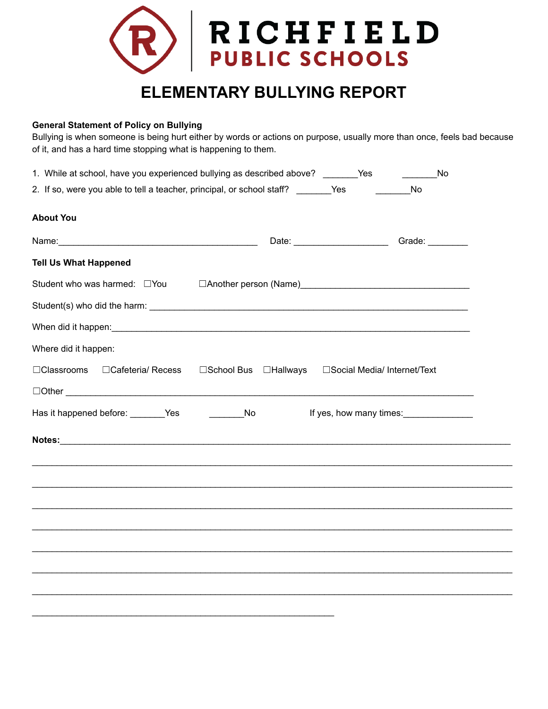

## **General Statement of Policy on Bullying**

Bullying is when someone is being hurt either by words or actions on purpose, usually more than once, feels bad because of it, and has a hard time stopping what is happening to them.

| 1. While at school, have you experienced bullying as described above? _________Yes  |                             |                         | No |
|-------------------------------------------------------------------------------------|-----------------------------|-------------------------|----|
| 2. If so, were you able to tell a teacher, principal, or school staff? _________Yes |                             | <b>No</b>               |    |
| <b>About You</b>                                                                    |                             |                         |    |
|                                                                                     |                             | Grade: _________        |    |
| <b>Tell Us What Happened</b>                                                        |                             |                         |    |
| Student who was harmed: □ You                                                       |                             |                         |    |
|                                                                                     |                             |                         |    |
|                                                                                     |                             |                         |    |
| Where did it happen:                                                                |                             |                         |    |
| □Classrooms □Cafeteria/ Recess □School Bus □Hallways □Social Media/ Internet/Text   |                             |                         |    |
| $\Box$ Other $\Box$                                                                 |                             |                         |    |
| Has it happened before: ________Yes                                                 | $\overline{\phantom{a}}$ No | If yes, how many times: |    |
|                                                                                     |                             |                         |    |
|                                                                                     |                             |                         |    |
|                                                                                     |                             |                         |    |
|                                                                                     |                             |                         |    |
|                                                                                     |                             |                         |    |
|                                                                                     |                             |                         |    |
|                                                                                     |                             |                         |    |
|                                                                                     |                             |                         |    |
|                                                                                     |                             |                         |    |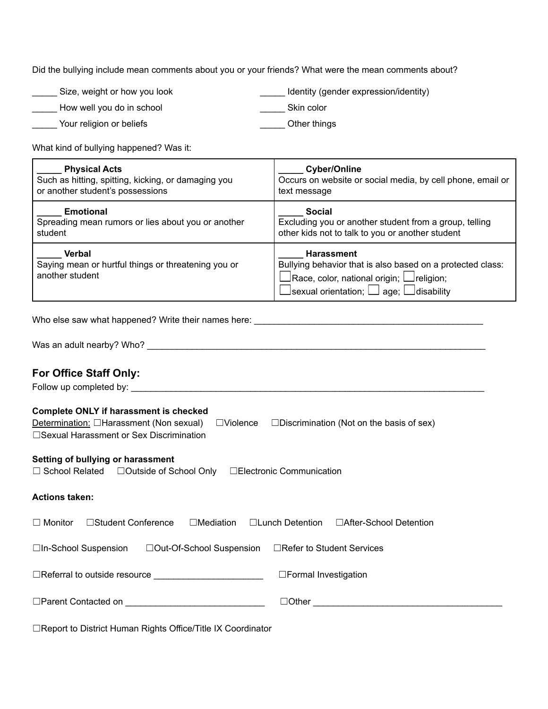Did the bullying include mean comments about you or your friends? What were the mean comments about?

| Size, weight or how you look | Identity (gender expression/identity) |
|------------------------------|---------------------------------------|
| How well you do in school    | Skin color                            |
| Your religion or beliefs     | Other things                          |

What kind of bullying happened? Was it:

| <b>Physical Acts</b>                                                                    | <b>Cyber/Online</b>                                                                                                                                                                                           |
|-----------------------------------------------------------------------------------------|---------------------------------------------------------------------------------------------------------------------------------------------------------------------------------------------------------------|
| Such as hitting, spitting, kicking, or damaging you                                     | Occurs on website or social media, by cell phone, email or                                                                                                                                                    |
| or another student's possessions                                                        | text message                                                                                                                                                                                                  |
| <b>Emotional</b>                                                                        | <b>Social</b>                                                                                                                                                                                                 |
| Spreading mean rumors or lies about you or another                                      | Excluding you or another student from a group, telling                                                                                                                                                        |
| student                                                                                 | other kids not to talk to you or another student                                                                                                                                                              |
| <b>Verbal</b><br>Saying mean or hurtful things or threatening you or<br>another student | <b>Harassment</b><br>Bullying behavior that is also based on a protected class:<br>$\Box$ Race, color, national origin; $\Box$ religion;<br>$\square$ sexual orientation; $\square$ age; $\square$ disability |

Who else saw what happened? Write their names here: \_\_\_\_\_\_\_\_\_\_\_\_\_\_\_\_\_\_\_\_\_\_\_\_\_\_\_\_\_

Was an adult nearby? Who? \_\_\_\_\_\_\_\_\_\_\_\_\_\_\_\_\_\_\_\_\_\_\_\_\_\_\_\_\_\_\_\_\_\_\_\_\_\_\_\_\_\_\_\_\_\_\_\_\_\_\_\_\_\_\_\_\_\_\_\_\_\_\_\_\_\_\_\_

## **For Office Staff Only:**

Follow up completed by: \_\_\_\_\_\_\_\_\_\_\_\_\_\_\_\_\_\_\_\_\_\_\_\_\_\_\_\_\_\_\_\_\_\_\_\_\_\_\_\_\_\_\_\_\_\_\_\_\_\_\_\_\_\_\_\_\_\_\_\_\_\_\_\_\_\_\_\_\_\_\_

## **Complete ONLY if harassment is checked**

| Determination: $\Box$ Harassment (Non sexual) $\Box$ Violence $\Box$ Discrimination (Not on the basis of sex)            |  |  |  |  |
|--------------------------------------------------------------------------------------------------------------------------|--|--|--|--|
| Setting of bullying or harassment<br>$\Box$ School Related $\Box$ Outside of School Only $\Box$ Electronic Communication |  |  |  |  |
|                                                                                                                          |  |  |  |  |
| □After-School Detention                                                                                                  |  |  |  |  |
|                                                                                                                          |  |  |  |  |
|                                                                                                                          |  |  |  |  |
|                                                                                                                          |  |  |  |  |
|                                                                                                                          |  |  |  |  |

☐Report to District Human Rights Office/Title IX Coordinator